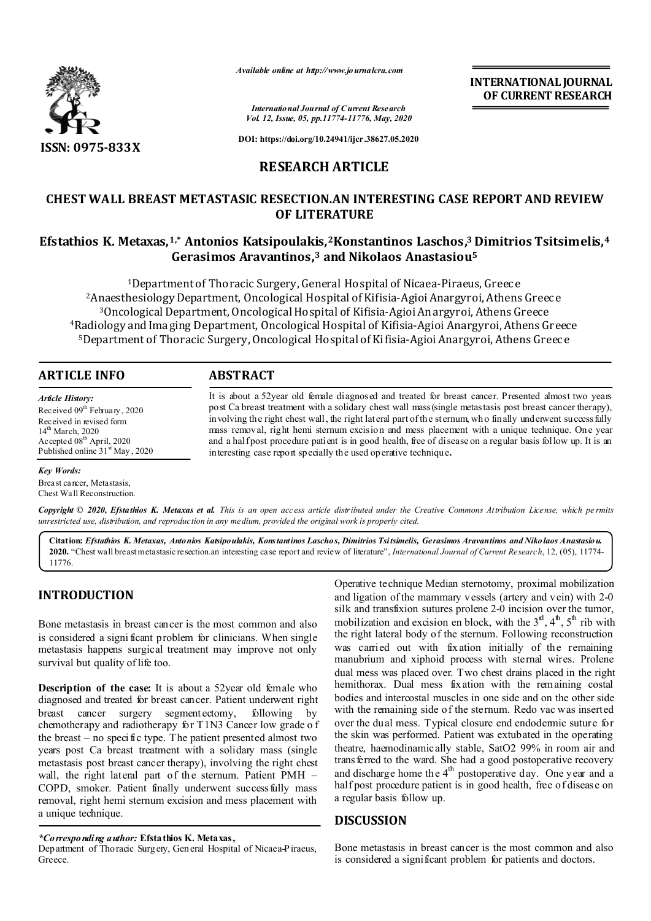

*Available online at http://www.journalcra.com*

**INTERNATIONAL JOURNAL OF CURRENT RESEARCH**

*International Journal of Current Research Vol. 12, Issue, 05, pp.11774-11776, May, 2020*

**DOI: https://doi.org/10.24941/ijcr.38627.05.2020**

# **RESEARCH ARTICLE**

# **CHEST WALL BREAST METASTASIC RESECTION.AN INTERESTING CASE REPORT AND REVIEW OF LITERATURE**

# **Efstathios K. Metaxas,1,\* Antonios Katsipoulakis,2Konstantinos Laschos,3 Dimitrios Tsitsimelis,4 Gerasimos Aravantinos,3 and Nikolaos Anastasiou5**

1Department of Thoracic Surgery, General Hospital of Nicaea-Piraeus, Greece <sup>2</sup> Anaesthesiology Department, Oncological Hospital of Kifisia-Agioi Anargyroi, Athens Greece 3Oncological Department, OncologicalHospital of Kifisia-Agioi Anargyroi, Athens Greece 4Radiology and Imaging Department, Oncological Hospital of Kifisia-Agioi Anargyroi, Athens Greece 5Department of Thoracic Surgery,Oncological Hospital of Kifisia-Agioi Anargyroi, Athens Greece

## **ARTICLE INFO ABSTRACT**

*Article History:* Received 09<sup>th</sup> February, 2020 Received in revised form 14<sup>th</sup> March, 2020 Accepted 08<sup>th</sup> April, 2020 Published online 31<sup>st</sup> May, 2020

### *Key Words:*

Breast cancer, Metastasis, Chest Wall Reconstruction.

It is about a 52year old female diagnosed and treated for breast cancer. Presented almost two years post Ca breast treatment with a solidary chest wall mass(single metastasis post breast cancer therapy), involving the right chest wall, the right lateral part of the sternum, who finally underwent success fully mass removal, right hemi sternum excision and mess placement with a unique technique. One year and a halfpost procedure patient is in good health, free of disease on a regular basis follow up. It is an interesting case report specially the used operative technique**.** 

Copyright © 2020, Efstathios K. Metaxas et al. This is an open access article distributed under the Creative Commons Attribution License, which permits *unrestricted use, distribution, and reproduction in any medium, provided the original work is properly cited.*

Citation: Efstathios K. Metaxas, Antonios Katsipoulakis, Konstantinos Laschos, Dimitrios Tsitsimelis, Gerasimos Aravantinos and Nikolaos Anastasiou. **2020.** "Chest wall breastmetastasic resection.an interesting case report and review of literature", *International Journal of Current Research*, 12, (05), 11774- 11776.

## **INTRODUCTION**

Bone metastasis in breast cancer is the most common and also is considered a signi ficant problem for clinicians. When single metastasis happens surgical treatment may improve not only survival but quality of life too.

**Description of the case:** It is about a 52year old female who diagnosed and treated for breast cancer. Patient underwent right breast cancer surgery segmentectomy, following by chemotherapy and radiotherapy for T1N3 Cancer low grade o f the breast – no specific type. The patient presented almost two years post Ca breast treatment with a solidary mass (single metastasis post breast cancer therapy), involving the right chest wall, the right lateral part of the sternum. Patient PMH – COPD, smoker. Patient finally underwent successfully mass removal, right hemi sternum excision and mess placement with a unique technique.

*\*Corresponding author:* **Efstathios K. Metaxas,**

Department of Thoracic Surgery, General Hospital of Nicaea-Piraeus, Greece.

Operative technique Median sternotomy, proximal mobilization and ligation ofthe mammary vessels (artery and vein) with 2-0 silk and transfixion sutures prolene 2-0 incision over the tumor, mobilization and excision en block, with the  $3<sup>rd</sup>$ ,  $4<sup>th</sup>$ ,  $5<sup>th</sup>$  rib with the right lateral body of the sternum. Following reconstruction was carried out with fixation initially of the remaining manubrium and xiphoid process with sternal wires. Prolene dual mess was placed over. Two chest drains placed in the right hemithorax. Dual mess fixation with the remaining costal bodies and intercostal muscles in one side and on the other side with the remaining side of the sternum. Redo vac was inserted over the dual mess. Typical closure end endodermic suture for the skin was performed. Patient was extubated in the operating theatre, haemodinamically stable, SatO2 99% in room air and trans ferred to the ward. She had a good postoperative recovery and discharge home the 4<sup>th</sup> postoperative day. One year and a half post procedure patient is in good health, free of disease on a regular basis follow up.

## **DISCUSSION**

Bone metastasis in breast cancer is the most common and also is considered a significant problem for patients and doctors.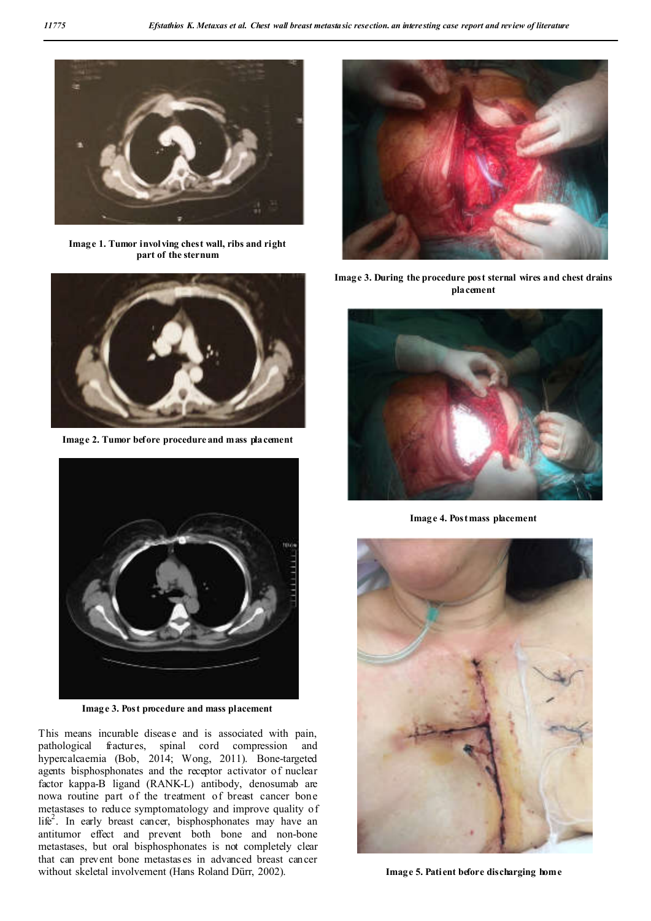

**Image 1. Tumor involving chest wall, ribs and right part of the sternum**



**Image 2. Tumor before procedure and mass placement**



**Image 3. Post procedure and mass placement**

This means incurable disease and is associated with pain, pathological fractures, spinal cord compression and hypercalcaemia (Bob, 2014; Wong, 2011). Bone-targeted agents bisphosphonates and the receptor activator of nuclear factor kappa-B ligand (RANK-L) antibody, denosumab are nowa routine part of the treatment of breast cancer bone metastases to reduce symptomatology and improve quality of life<sup>2</sup>. In early breast cancer, bisphosphonates may have an antitumor effect and prevent both bone and non-bone metastases, but oral bisphosphonates is not completely clear that can prevent bone metastases in advanced breast cancer without skeletal involvement (Hans Roland Dürr, 2002).



**Image 3. During the procedure post sternal wires and chest drains placement**



**Image 4. Post mass placement**



**Image 5. Patient before discharging home**